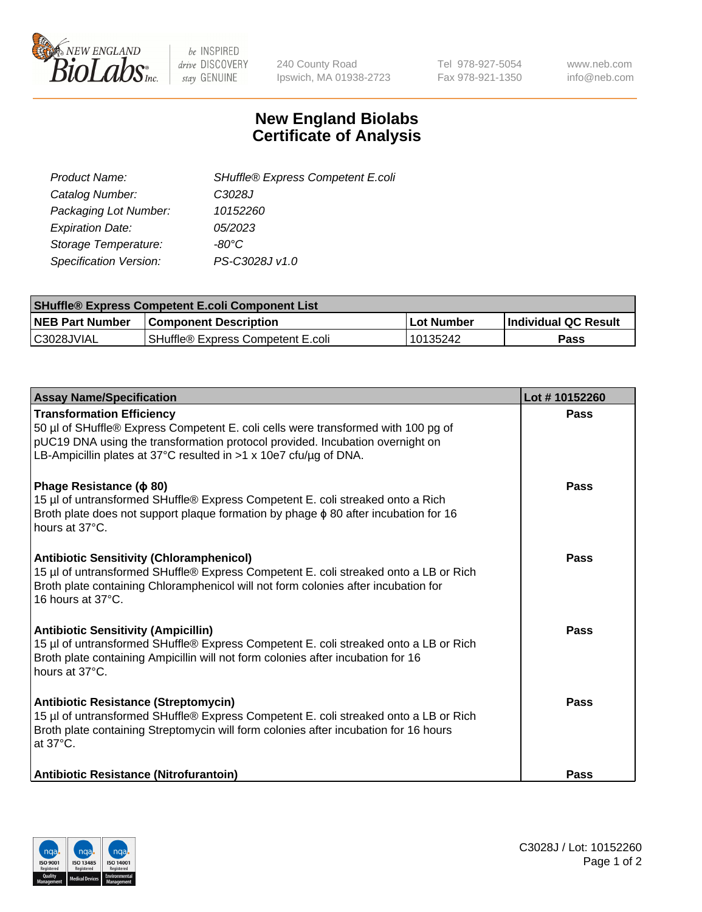

be INSPIRED drive DISCOVERY stay GENUINE

240 County Road Ipswich, MA 01938-2723 Tel 978-927-5054 Fax 978-921-1350 www.neb.com info@neb.com

## **New England Biolabs Certificate of Analysis**

| SHuffle® Express Competent E.coli |
|-----------------------------------|
| C3028J                            |
| 10152260                          |
| 05/2023                           |
| -80°C                             |
| PS-C3028J v1.0                    |
|                                   |

| <b>SHuffle® Express Competent E.coli Component List</b> |                                   |            |                             |  |
|---------------------------------------------------------|-----------------------------------|------------|-----------------------------|--|
| <b>NEB Part Number</b>                                  | <b>Component Description</b>      | Lot Number | <b>Individual QC Result</b> |  |
| C3028JVIAL                                              | SHuffle® Express Competent E.coli | 10135242   | Pass                        |  |

| <b>Assay Name/Specification</b>                                                                                                                                                                                                                                             | Lot #10152260 |
|-----------------------------------------------------------------------------------------------------------------------------------------------------------------------------------------------------------------------------------------------------------------------------|---------------|
| <b>Transformation Efficiency</b><br>50 µl of SHuffle® Express Competent E. coli cells were transformed with 100 pg of<br>pUC19 DNA using the transformation protocol provided. Incubation overnight on<br>LB-Ampicillin plates at 37°C resulted in >1 x 10e7 cfu/ug of DNA. | Pass          |
| Phage Resistance ( $\phi$ 80)<br>15 µl of untransformed SHuffle® Express Competent E. coli streaked onto a Rich<br>Broth plate does not support plaque formation by phage $\phi$ 80 after incubation for 16<br>hours at 37°C.                                               | Pass          |
| <b>Antibiotic Sensitivity (Chloramphenicol)</b><br>15 µl of untransformed SHuffle® Express Competent E. coli streaked onto a LB or Rich<br>Broth plate containing Chloramphenicol will not form colonies after incubation for<br>16 hours at 37°C.                          | <b>Pass</b>   |
| <b>Antibiotic Sensitivity (Ampicillin)</b><br>15 µl of untransformed SHuffle® Express Competent E. coli streaked onto a LB or Rich<br>Broth plate containing Ampicillin will not form colonies after incubation for 16<br>hours at 37°C.                                    | Pass          |
| Antibiotic Resistance (Streptomycin)<br>15 µl of untransformed SHuffle® Express Competent E. coli streaked onto a LB or Rich<br>Broth plate containing Streptomycin will form colonies after incubation for 16 hours<br>at 37°C.                                            | <b>Pass</b>   |
| Antibiotic Resistance (Nitrofurantoin)                                                                                                                                                                                                                                      | Pass          |